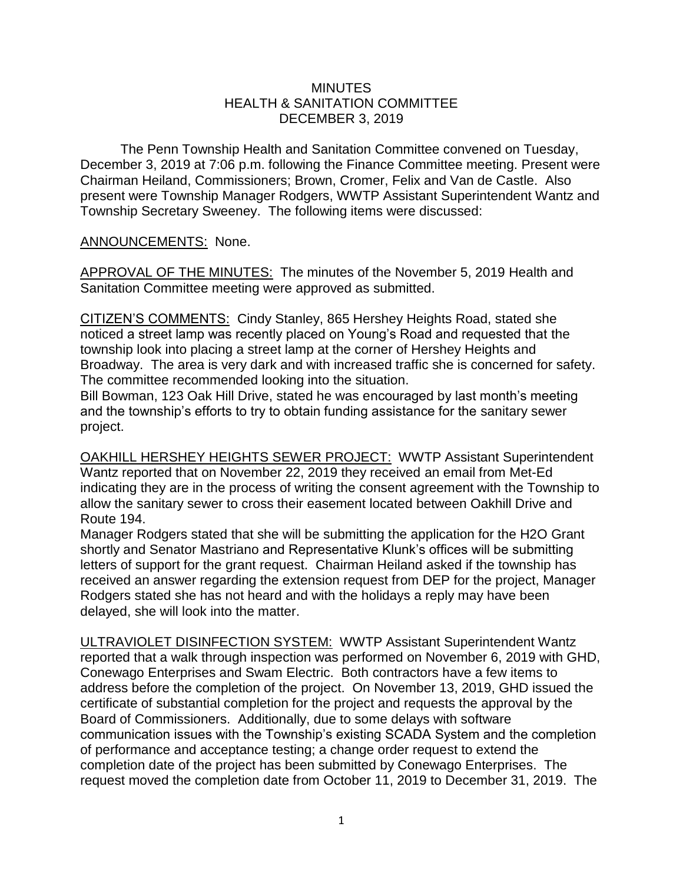## **MINUTES** HEALTH & SANITATION COMMITTEE DECEMBER 3, 2019

The Penn Township Health and Sanitation Committee convened on Tuesday, December 3, 2019 at 7:06 p.m. following the Finance Committee meeting. Present were Chairman Heiland, Commissioners; Brown, Cromer, Felix and Van de Castle. Also present were Township Manager Rodgers, WWTP Assistant Superintendent Wantz and Township Secretary Sweeney. The following items were discussed:

## ANNOUNCEMENTS: None.

APPROVAL OF THE MINUTES: The minutes of the November 5, 2019 Health and Sanitation Committee meeting were approved as submitted.

CITIZEN'S COMMENTS: Cindy Stanley, 865 Hershey Heights Road, stated she noticed a street lamp was recently placed on Young's Road and requested that the township look into placing a street lamp at the corner of Hershey Heights and Broadway. The area is very dark and with increased traffic she is concerned for safety. The committee recommended looking into the situation.

Bill Bowman, 123 Oak Hill Drive, stated he was encouraged by last month's meeting and the township's efforts to try to obtain funding assistance for the sanitary sewer project.

OAKHILL HERSHEY HEIGHTS SEWER PROJECT: WWTP Assistant Superintendent Wantz reported that on November 22, 2019 they received an email from Met-Ed indicating they are in the process of writing the consent agreement with the Township to allow the sanitary sewer to cross their easement located between Oakhill Drive and Route 194.

Manager Rodgers stated that she will be submitting the application for the H2O Grant shortly and Senator Mastriano and Representative Klunk's offices will be submitting letters of support for the grant request. Chairman Heiland asked if the township has received an answer regarding the extension request from DEP for the project, Manager Rodgers stated she has not heard and with the holidays a reply may have been delayed, she will look into the matter.

ULTRAVIOLET DISINFECTION SYSTEM: WWTP Assistant Superintendent Wantz reported that a walk through inspection was performed on November 6, 2019 with GHD, Conewago Enterprises and Swam Electric. Both contractors have a few items to address before the completion of the project. On November 13, 2019, GHD issued the certificate of substantial completion for the project and requests the approval by the Board of Commissioners. Additionally, due to some delays with software communication issues with the Township's existing SCADA System and the completion of performance and acceptance testing; a change order request to extend the completion date of the project has been submitted by Conewago Enterprises. The request moved the completion date from October 11, 2019 to December 31, 2019. The